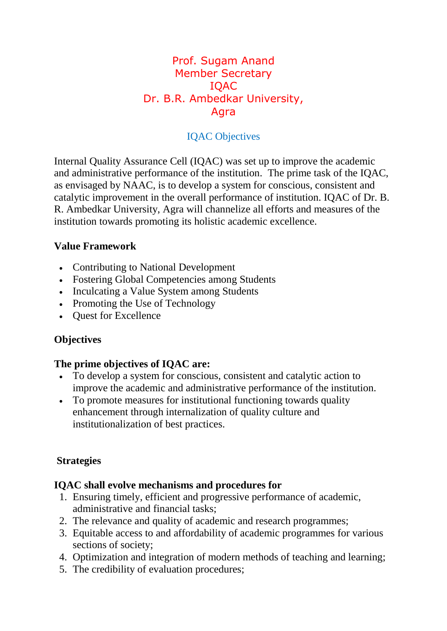### Prof. Sugam Anand Member Secretary IQAC Dr. B.R. Ambedkar University, Agra

### IQAC Objectives

Internal Quality Assurance Cell (IQAC) was set up to improve the academic and administrative performance of the institution. The prime task of the IQAC, as envisaged by NAAC, is to develop a system for conscious, consistent and catalytic improvement in the overall performance of institution. IQAC of Dr. B. R. Ambedkar University, Agra will channelize all efforts and measures of the institution towards promoting its holistic academic excellence.

#### **Value Framework**

- Contributing to National Development
- Fostering Global Competencies among Students
- Inculcating a Value System among Students
- Promoting the Use of Technology
- Ouest for Excellence

#### **Objectives**

#### **The prime objectives of IQAC are:**

- To develop a system for conscious, consistent and catalytic action to improve the academic and administrative performance of the institution.
- To promote measures for institutional functioning towards quality enhancement through internalization of quality culture and institutionalization of best practices.

#### **Strategies**

#### **IQAC shall evolve mechanisms and procedures for**

- 1. Ensuring timely, efficient and progressive performance of academic, administrative and financial tasks;
- 2. The relevance and quality of academic and research programmes;
- 3. Equitable access to and affordability of academic programmes for various sections of society;
- 4. Optimization and integration of modern methods of teaching and learning;
- 5. The credibility of evaluation procedures;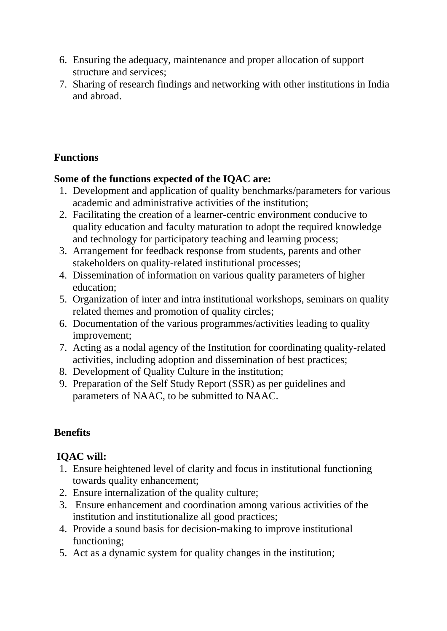- 6. Ensuring the adequacy, maintenance and proper allocation of support structure and services;
- 7. Sharing of research findings and networking with other institutions in India and abroad.

### **Functions**

#### **Some of the functions expected of the IQAC are:**

- 1. Development and application of quality benchmarks/parameters for various academic and administrative activities of the institution;
- 2. Facilitating the creation of a learner-centric environment conducive to quality education and faculty maturation to adopt the required knowledge and technology for participatory teaching and learning process;
- 3. Arrangement for feedback response from students, parents and other stakeholders on quality-related institutional processes;
- 4. Dissemination of information on various quality parameters of higher education;
- 5. Organization of inter and intra institutional workshops, seminars on quality related themes and promotion of quality circles;
- 6. Documentation of the various programmes/activities leading to quality improvement;
- 7. Acting as a nodal agency of the Institution for coordinating quality-related activities, including adoption and dissemination of best practices;
- 8. Development of Quality Culture in the institution;
- 9. Preparation of the Self Study Report (SSR) as per guidelines and parameters of NAAC, to be submitted to NAAC.

# **Benefits**

## **IQAC will:**

- 1. Ensure heightened level of clarity and focus in institutional functioning towards quality enhancement;
- 2. Ensure internalization of the quality culture;
- 3. Ensure enhancement and coordination among various activities of the institution and institutionalize all good practices;
- 4. Provide a sound basis for decision-making to improve institutional functioning;
- 5. Act as a dynamic system for quality changes in the institution;